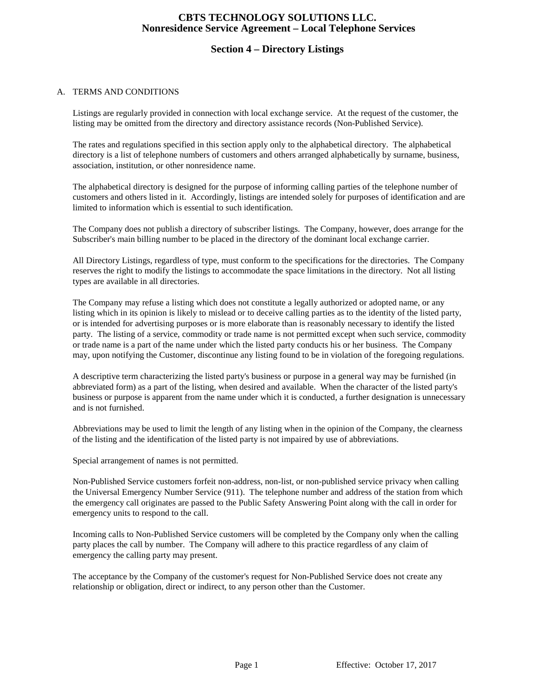## **CBTS TECHNOLOGY SOLUTIONS LLC. Nonresidence Service Agreement – Local Telephone Services**

## **Section 4 – Directory Listings**

#### A. TERMS AND CONDITIONS

Listings are regularly provided in connection with local exchange service. At the request of the customer, the listing may be omitted from the directory and directory assistance records (Non-Published Service).

The rates and regulations specified in this section apply only to the alphabetical directory. The alphabetical directory is a list of telephone numbers of customers and others arranged alphabetically by surname, business, association, institution, or other nonresidence name.

The alphabetical directory is designed for the purpose of informing calling parties of the telephone number of customers and others listed in it. Accordingly, listings are intended solely for purposes of identification and are limited to information which is essential to such identification.

The Company does not publish a directory of subscriber listings. The Company, however, does arrange for the Subscriber's main billing number to be placed in the directory of the dominant local exchange carrier.

All Directory Listings, regardless of type, must conform to the specifications for the directories. The Company reserves the right to modify the listings to accommodate the space limitations in the directory. Not all listing types are available in all directories.

The Company may refuse a listing which does not constitute a legally authorized or adopted name, or any listing which in its opinion is likely to mislead or to deceive calling parties as to the identity of the listed party, or is intended for advertising purposes or is more elaborate than is reasonably necessary to identify the listed party. The listing of a service, commodity or trade name is not permitted except when such service, commodity or trade name is a part of the name under which the listed party conducts his or her business. The Company may, upon notifying the Customer, discontinue any listing found to be in violation of the foregoing regulations.

A descriptive term characterizing the listed party's business or purpose in a general way may be furnished (in abbreviated form) as a part of the listing, when desired and available. When the character of the listed party's business or purpose is apparent from the name under which it is conducted, a further designation is unnecessary and is not furnished.

Abbreviations may be used to limit the length of any listing when in the opinion of the Company, the clearness of the listing and the identification of the listed party is not impaired by use of abbreviations.

Special arrangement of names is not permitted.

Non-Published Service customers forfeit non-address, non-list, or non-published service privacy when calling the Universal Emergency Number Service (911). The telephone number and address of the station from which the emergency call originates are passed to the Public Safety Answering Point along with the call in order for emergency units to respond to the call.

Incoming calls to Non-Published Service customers will be completed by the Company only when the calling party places the call by number. The Company will adhere to this practice regardless of any claim of emergency the calling party may present.

The acceptance by the Company of the customer's request for Non-Published Service does not create any relationship or obligation, direct or indirect, to any person other than the Customer.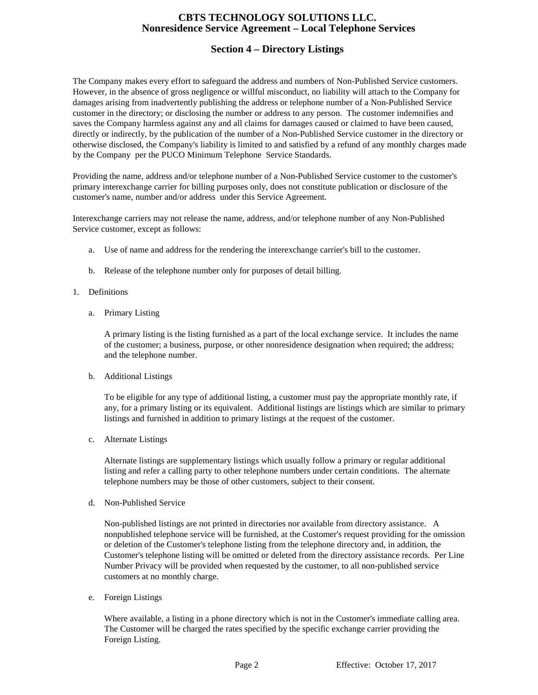## **CBTS TECHNOLOGY SOLUTIONS LLC. Nonresidence Service Agreement – Local Telephone Services**

# **Section 4 – Directory Listings**

The Company makes every effort to safeguard the address and numbers of Non-Published Service customers. However, in the absence of gross negligence or willful misconduct, no liability will attach to the Company for damages arising from inadvertently publishing the address or telephone number of a Non-Published Service customer in the directory; or disclosing the number or address to any person. The customer indemnifies and saves the Company harmless against any and all claims for damages caused or claimed to have been caused, directly or indirectly, by the publication of the number of a Non-Published Service customer in the directory or otherwise disclosed, the Company's liability is limited to and satisfied by a refund of any monthly charges made by the Company per the PUCO Minimum Telephone Service Standards.

Providing the name, address and/or telephone number of a Non-Published Service customer to the customer's primary interexchange carrier for billing purposes only, does not constitute publication or disclosure of the customer's name, number and/or address under this Service Agreement.

Interexchange carriers may not release the name, address, and/or telephone number of any Non-Published Service customer, except as follows:

- a. Use of name and address for the rendering the interexchange carrier's bill to the customer.
- b. Release of the telephone number only for purposes of detail billing.
- 1. Definitions
	- a. Primary Listing

A primary listing is the listing furnished as a part of the local exchange service. It includes the name of the customer; a business, purpose, or other nonresidence designation when required; the address; and the telephone number.

b. Additional Listings

To be eligible for any type of additional listing, a customer must pay the appropriate monthly rate, if any, for a primary listing or its equivalent. Additional listings are listings which are similar to primary listings and furnished in addition to primary listings at the request of the customer.

c. Alternate Listings

Alternate listings are supplementary listings which usually follow a primary or regular additional listing and refer a calling party to other telephone numbers under certain conditions. The alternate telephone numbers may be those of other customers, subject to their consent.

d. Non-Published Service

Non-published listings are not printed in directories nor available from directory assistance. A nonpublished telephone service will be furnished, at the Customer's request providing for the omission or deletion of the Customer's telephone listing from the telephone directory and, in addition, the Customer's telephone listing will be omitted or deleted from the directory assistance records. Per Line Number Privacy will be provided when requested by the customer, to all non-published service customers at no monthly charge.

e. Foreign Listings

Where available, a listing in a phone directory which is not in the Customer's immediate calling area. The Customer will be charged the rates specified by the specific exchange carrier providing the Foreign Listing.